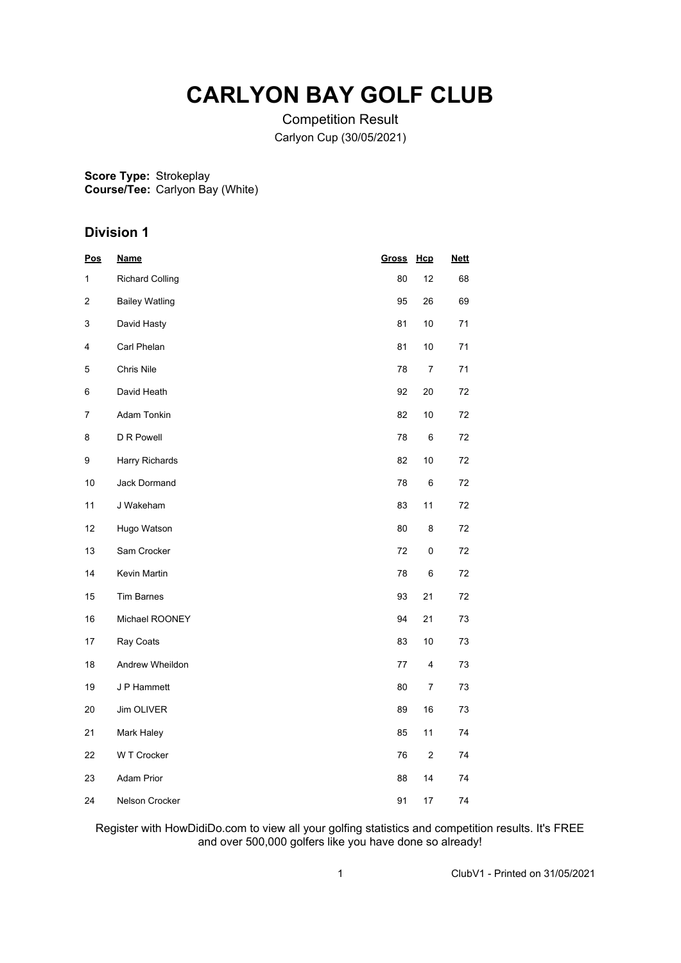# **CARLYON BAY GOLF CLUB**

Competition Result Carlyon Cup (30/05/2021)

**Score Type: Course/Tee:** Strokeplay Carlyon Bay (White)

# **Division 1**

| <u>Pos</u> | <b>Name</b>            | <b>Gross</b> | Hcp                     | <b>Nett</b> |  |
|------------|------------------------|--------------|-------------------------|-------------|--|
| 1          | <b>Richard Colling</b> | 80           | 12                      | 68          |  |
| 2          | <b>Bailey Watling</b>  | 95           | 26                      | 69          |  |
| 3          | David Hasty            | 81           | 10                      | 71          |  |
| 4          | Carl Phelan            | 81           | 10                      | 71          |  |
| 5          | Chris Nile             | 78           | $\boldsymbol{7}$        | 71          |  |
| 6          | David Heath            | 92           | 20                      | 72          |  |
| 7          | Adam Tonkin            | 82           | 10                      | 72          |  |
| 8          | D R Powell             | 78           | 6                       | 72          |  |
| 9          | Harry Richards         | 82           | 10                      | 72          |  |
| 10         | Jack Dormand           | 78           | 6                       | 72          |  |
| 11         | J Wakeham              | 83           | 11                      | 72          |  |
| 12         | Hugo Watson            | 80           | 8                       | 72          |  |
| 13         | Sam Crocker            | 72           | 0                       | 72          |  |
| 14         | Kevin Martin           | 78           | 6                       | 72          |  |
| 15         | <b>Tim Barnes</b>      | 93           | 21                      | 72          |  |
| 16         | Michael ROONEY         | 94           | 21                      | 73          |  |
| 17         | Ray Coats              | 83           | 10                      | 73          |  |
| 18         | Andrew Wheildon        | 77           | 4                       | 73          |  |
| 19         | J P Hammett            | 80           | 7                       | 73          |  |
| 20         | Jim OLIVER             | 89           | $16\,$                  | 73          |  |
| 21         | Mark Haley             | 85           | 11                      | 74          |  |
| 22         | W T Crocker            | 76           | $\overline{\mathbf{c}}$ | 74          |  |
| 23         | Adam Prior             | 88           | 14                      | 74          |  |
| 24         | Nelson Crocker         | 91           | 17                      | 74          |  |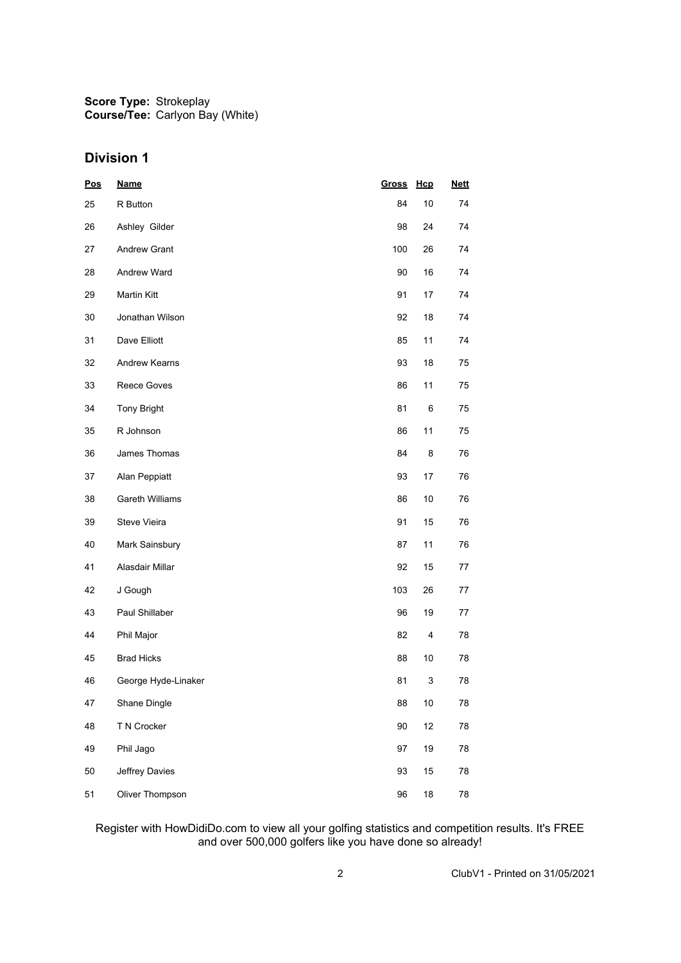**Score Type: Course/Tee:** Strokeplay Carlyon Bay (White)

## **Division 1**

| <u>Pos</u> | <b>Name</b>            | Gross | Hcp  | <b>Nett</b> |
|------------|------------------------|-------|------|-------------|
| 25         | R Button               | 84    | 10   | 74          |
| 26         | Ashley Gilder          | 98    | 24   | 74          |
| 27         | <b>Andrew Grant</b>    | 100   | 26   | 74          |
| 28         | Andrew Ward            | 90    | 16   | 74          |
| 29         | <b>Martin Kitt</b>     | 91    | 17   | 74          |
| 30         | Jonathan Wilson        | 92    | 18   | 74          |
| 31         | Dave Elliott           | 85    | 11   | 74          |
| 32         | Andrew Kearns          | 93    | 18   | 75          |
| 33         | Reece Goves            | 86    | 11   | 75          |
| 34         | <b>Tony Bright</b>     | 81    | 6    | 75          |
| 35         | R Johnson              | 86    | 11   | 75          |
| 36         | James Thomas           | 84    | 8    | 76          |
| 37         | Alan Peppiatt          | 93    | 17   | 76          |
| 38         | <b>Gareth Williams</b> | 86    | 10   | 76          |
| 39         | Steve Vieira           | 91    | 15   | 76          |
| 40         | Mark Sainsbury         | 87    | 11   | 76          |
| 41         | Alasdair Millar        | 92    | 15   | 77          |
| 42         | J Gough                | 103   | 26   | 77          |
| 43         | Paul Shillaber         | 96    | 19   | 77          |
| 44         | Phil Major             | 82    | 4    | 78          |
| 45         | <b>Brad Hicks</b>      | 88    | 10   | 78          |
| 46         | George Hyde-Linaker    | 81    | 3    | 78          |
| 47         | Shane Dingle           | 88    | $10$ | 78          |
| 48         | T N Crocker            | 90    | 12   | 78          |
| 49         | Phil Jago              | 97    | 19   | 78          |
| 50         | Jeffrey Davies         | 93    | 15   | 78          |
| 51         | Oliver Thompson        | 96    | 18   | 78          |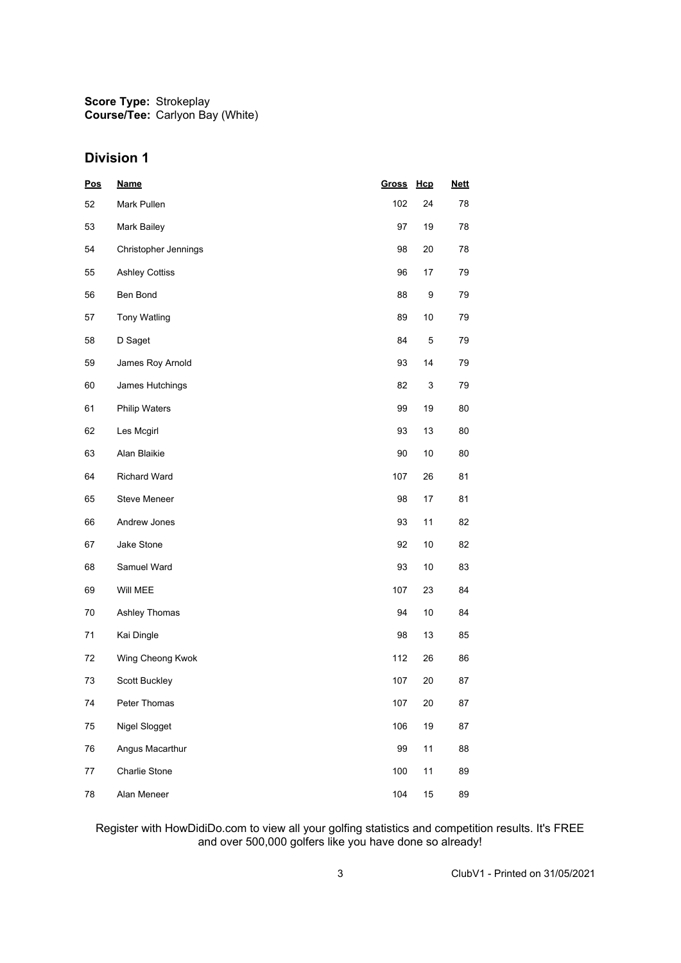**Score Type: Course/Tee:** Strokeplay Carlyon Bay (White)

## **Division 1**

| Pos | <b>Name</b>           | <b>Gross</b> | Hcp | <b>Nett</b> |
|-----|-----------------------|--------------|-----|-------------|
| 52  | Mark Pullen           | 102          | 24  | 78          |
| 53  | Mark Bailey           | 97           | 19  | 78          |
| 54  | Christopher Jennings  | 98           | 20  | 78          |
| 55  | <b>Ashley Cottiss</b> | 96           | 17  | 79          |
| 56  | Ben Bond              | 88           | 9   | 79          |
| 57  | <b>Tony Watling</b>   | 89           | 10  | 79          |
| 58  | D Saget               | 84           | 5   | 79          |
| 59  | James Roy Arnold      | 93           | 14  | 79          |
| 60  | James Hutchings       | 82           | 3   | 79          |
| 61  | Philip Waters         | 99           | 19  | 80          |
| 62  | Les Mcgirl            | 93           | 13  | 80          |
| 63  | Alan Blaikie          | 90           | 10  | 80          |
| 64  | <b>Richard Ward</b>   | 107          | 26  | 81          |
| 65  | <b>Steve Meneer</b>   | 98           | 17  | 81          |
| 66  | Andrew Jones          | 93           | 11  | 82          |
| 67  | Jake Stone            | 92           | 10  | 82          |
| 68  | Samuel Ward           | 93           | 10  | 83          |
| 69  | Will MEE              | 107          | 23  | 84          |
| 70  | Ashley Thomas         | 94           | 10  | 84          |
| 71  | Kai Dingle            | 98           | 13  | 85          |
| 72  | Wing Cheong Kwok      | 112          | 26  | 86          |
| 73  | Scott Buckley         | 107          | 20  | 87          |
| 74  | Peter Thomas          | 107          | 20  | 87          |
| 75  | Nigel Slogget         | 106          | 19  | 87          |
| 76  | Angus Macarthur       | 99           | 11  | 88          |
| 77  | Charlie Stone         | 100          | 11  | 89          |
| 78  | Alan Meneer           | 104          | 15  | 89          |